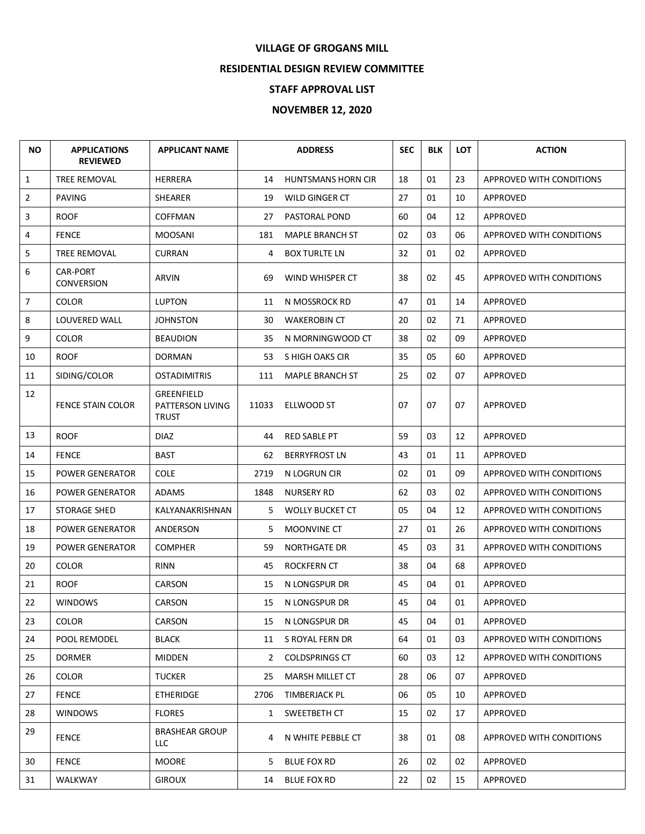## **VILLAGE OF GROGANS MILL**

## **RESIDENTIAL DESIGN REVIEW COMMITTEE**

## **STAFF APPROVAL LIST**

## **NOVEMBER 12, 2020**

| <b>NO</b>      | <b>APPLICATIONS</b><br><b>REVIEWED</b> | <b>APPLICANT NAME</b>                                 |              | <b>ADDRESS</b>            | <b>SEC</b> | <b>BLK</b> | <b>LOT</b> | <b>ACTION</b>            |
|----------------|----------------------------------------|-------------------------------------------------------|--------------|---------------------------|------------|------------|------------|--------------------------|
| $\mathbf{1}$   | TREE REMOVAL                           | <b>HERRERA</b>                                        | 14           | <b>HUNTSMANS HORN CIR</b> | 18         | 01         | 23         | APPROVED WITH CONDITIONS |
| $\overline{2}$ | PAVING                                 | SHEARER                                               | 19           | WILD GINGER CT            | 27         | 01         | 10         | APPROVED                 |
| 3              | <b>ROOF</b>                            | <b>COFFMAN</b>                                        | 27           | PASTORAL POND             | 60         | 04         | 12         | APPROVED                 |
| 4              | <b>FENCE</b>                           | <b>MOOSANI</b>                                        | 181          | MAPLE BRANCH ST           | 02         | 03         | 06         | APPROVED WITH CONDITIONS |
| 5              | TREE REMOVAL                           | <b>CURRAN</b>                                         | 4            | <b>BOX TURLTE LN</b>      | 32         | 01         | 02         | APPROVED                 |
| 6              | <b>CAR-PORT</b><br><b>CONVERSION</b>   | ARVIN                                                 | 69           | WIND WHISPER CT           | 38         | 02         | 45         | APPROVED WITH CONDITIONS |
| $\overline{7}$ | <b>COLOR</b>                           | <b>LUPTON</b>                                         | 11           | N MOSSROCK RD             | 47         | 01         | 14         | APPROVED                 |
| 8              | LOUVERED WALL                          | <b>JOHNSTON</b>                                       | 30           | <b>WAKEROBIN CT</b>       | 20         | 02         | 71         | APPROVED                 |
| 9              | <b>COLOR</b>                           | <b>BEAUDION</b>                                       | 35           | N MORNINGWOOD CT          | 38         | 02         | 09         | APPROVED                 |
| 10             | <b>ROOF</b>                            | <b>DORMAN</b>                                         | 53           | S HIGH OAKS CIR           | 35         | 05         | 60         | APPROVED                 |
| 11             | SIDING/COLOR                           | <b>OSTADIMITRIS</b>                                   | 111          | <b>MAPLE BRANCH ST</b>    | 25         | 02         | 07         | APPROVED                 |
| 12             | FENCE STAIN COLOR                      | <b>GREENFIELD</b><br>PATTERSON LIVING<br><b>TRUST</b> | 11033        | <b>ELLWOOD ST</b>         | 07         | 07         | 07         | APPROVED                 |
| 13             | <b>ROOF</b>                            | <b>DIAZ</b>                                           | 44           | <b>RED SABLE PT</b>       | 59         | 03         | 12         | APPROVED                 |
| 14             | <b>FENCE</b>                           | <b>BAST</b>                                           | 62           | <b>BERRYFROST LN</b>      | 43         | 01         | 11         | APPROVED                 |
| 15             | <b>POWER GENERATOR</b>                 | <b>COLE</b>                                           | 2719         | N LOGRUN CIR              | 02         | 01         | 09         | APPROVED WITH CONDITIONS |
| 16             | <b>POWER GENERATOR</b>                 | <b>ADAMS</b>                                          | 1848         | <b>NURSERY RD</b>         | 62         | 03         | 02         | APPROVED WITH CONDITIONS |
| 17             | STORAGE SHED                           | KALYANAKRISHNAN                                       | 5            | <b>WOLLY BUCKET CT</b>    | 05         | 04         | 12         | APPROVED WITH CONDITIONS |
| 18             | <b>POWER GENERATOR</b>                 | ANDERSON                                              | 5            | MOONVINE CT               | 27         | 01         | 26         | APPROVED WITH CONDITIONS |
| 19             | <b>POWER GENERATOR</b>                 | <b>COMPHER</b>                                        | 59           | <b>NORTHGATE DR</b>       | 45         | 03         | 31         | APPROVED WITH CONDITIONS |
| 20             | <b>COLOR</b>                           | <b>RINN</b>                                           | 45           | <b>ROCKFERN CT</b>        | 38         | 04         | 68         | APPROVED                 |
| 21             | <b>ROOF</b>                            | <b>CARSON</b>                                         | 15           | N LONGSPUR DR             | 45         | 04         | 01         | APPROVED                 |
| 22             | <b>WINDOWS</b>                         | CARSON                                                | 15           | N LONGSPUR DR             | 45         | 04         | 01         | APPROVED                 |
| 23             | <b>COLOR</b>                           | CARSON                                                | 15           | N LONGSPUR DR             | 45         | 04         | 01         | APPROVED                 |
| 24             | POOL REMODEL                           | <b>BLACK</b>                                          | 11           | S ROYAL FERN DR           | 64         | 01         | 03         | APPROVED WITH CONDITIONS |
| 25             | <b>DORMER</b>                          | <b>MIDDEN</b>                                         | 2            | <b>COLDSPRINGS CT</b>     | 60         | 03         | 12         | APPROVED WITH CONDITIONS |
| 26             | <b>COLOR</b>                           | <b>TUCKER</b>                                         | 25           | MARSH MILLET CT           | 28         | 06         | 07         | APPROVED                 |
| 27             | <b>FENCE</b>                           | <b>ETHERIDGE</b>                                      | 2706         | TIMBERJACK PL             | 06         | 05         | 10         | APPROVED                 |
| 28             | <b>WINDOWS</b>                         | <b>FLORES</b>                                         | $\mathbf{1}$ | SWEETBETH CT              | 15         | 02         | 17         | APPROVED                 |
| 29             | <b>FENCE</b>                           | <b>BRASHEAR GROUP</b><br>LLC                          | 4            | N WHITE PEBBLE CT         | 38         | 01         | 08         | APPROVED WITH CONDITIONS |
| 30             | <b>FENCE</b>                           | <b>MOORE</b>                                          | 5.           | <b>BLUE FOX RD</b>        | 26         | 02         | 02         | APPROVED                 |
| 31             | WALKWAY                                | <b>GIROUX</b>                                         | 14           | <b>BLUE FOX RD</b>        | 22         | 02         | 15         | APPROVED                 |